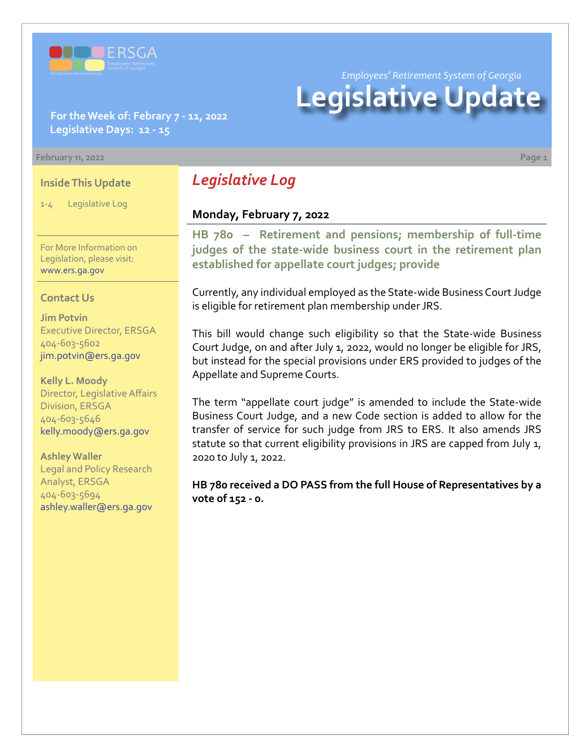

*Employees' Retirement System of Georgia*

# **Legislative Update**

#### **For the Week of: Febrary 7 - 11, 2022 Legislative Days: 12 - 15**

#### **February 11, 2022 Page 1**

#### **Inside This Update**

1-4 Legislative Log

For More Information on Legislation, please visit: [www.ers.ga.gov](http://www.ers.ga.gov/default.aspx)

#### **Contact Us**

**Jim Potvin** Executive Director, ERSGA 404-603-5602 jim.potvin@ers.ga.gov

**Kelly L. Moody** Director, Legislative Affairs Division, ERSGA 404-603-5646 kelly.moody@ers.ga.gov

**Ashley Waller** Legal and Policy Research Analyst, ERSGA 404-603-5694 ashley.waller@ers.ga.gov

# *Legislative Log*

## **Monday, February 7, 2022**

**HB 780 – Retirement and pensions; membership of full-time [judges of the state-wide business court in the retirement plan](https://www.legis.ga.gov/legislation/60559)  established for appellate court judges; provide**

Currently, any individual employed as the State-wide Business Court Judge is eligible for retirement plan membership under JRS.

This bill would change such eligibility so that the State-wide Business Court Judge, on and after July 1, 2022, would no longer be eligible for JRS, but instead for the special provisions under ERS provided to judges of the Appellate and Supreme Courts.

The term "appellate court judge" is amended to include the State-wide Business Court Judge, and a new Code section is added to allow for the transfer of service for such judge from JRS to ERS. It also amends JRS statute so that current eligibility provisions in JRS are capped from July 1, 2020 to July 1, 2022.

**HB 780 received a DO PASS from the full House of Representatives by a vote of 152 - 0.**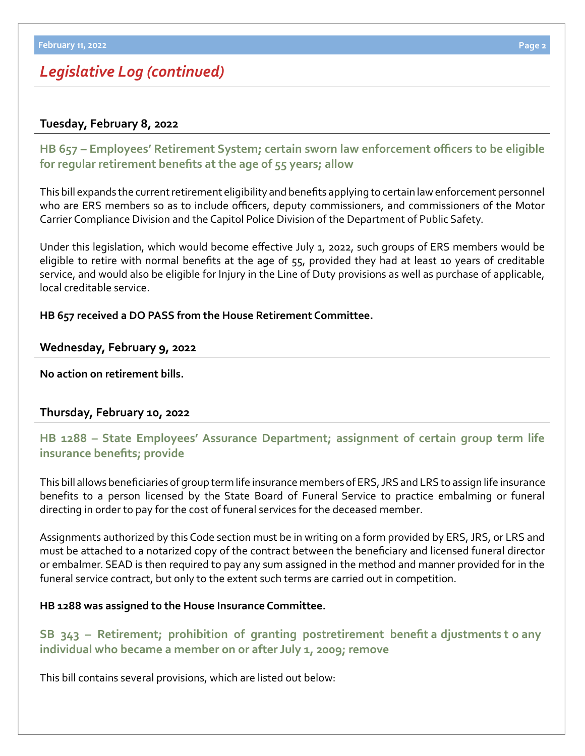# *Legislative Log (continued)*

#### **Tuesday, February 8, 2022**

**[HB 657](https://www.legis.ga.gov/legislation/60125) – [Employees' Retirement System; certain sworn law enforcement officers to be eligible](https://www.legis.ga.gov/legislation/60125)  for regular retirement benefits at the age of 55 years; allow**

This bill expands the current retirement eligibility and benefits applying to certain law enforcement personnel who are ERS members so as to include officers, deputy commissioners, and commissioners of the Motor Carrier Compliance Division and the Capitol Police Division of the Department of Public Safety.

Under this legislation, which would become effective July 1, 2022, such groups of ERS members would be eligible to retire with normal benefits at the age of 55, provided they had at least 10 years of creditable service, and would also be eligible for Injury in the Line of Duty provisions as well as purchase of applicable, local creditable service.

**HB 657 received a DO PASS from the House Retirement Committee.**

#### **Wednesday, February 9, 2022**

**No action on retirement bills.**

## **Thursday, February 10, 2022**

**[HB 1288 – State Employees' Assurance Department; assignment of certain group term life](https://www.legis.ga.gov/legislation/61906)  insurance benefits; provide**

This bill allows beneficiaries of group term life insurance members of ERS, JRS and LRS to assign life insurance benefits to a person licensed by the State Board of Funeral Service to practice embalming or funeral directing in order to pay for the cost of funeral services for the deceased member.

Assignments authorized by this Code section must be in writing on a form provided by ERS, JRS, or LRS and must be attached to a notarized copy of the contract between the beneficiary and licensed funeral director or embalmer. SEAD is then required to pay any sum assigned in the method and manner provided for in the funeral service contract, but only to the extent such terms are carried out in competition.

#### **HB 1288 was assigned to the House Insurance Committee.**

**SB 343 – Retirement; prohibition of granting postretirement benefit a djustments t o any [individual who became a member on or after July 1, 2009; remove](https://www.legis.ga.gov/legislation/61176)**

This bill contains several provisions, which are listed out below: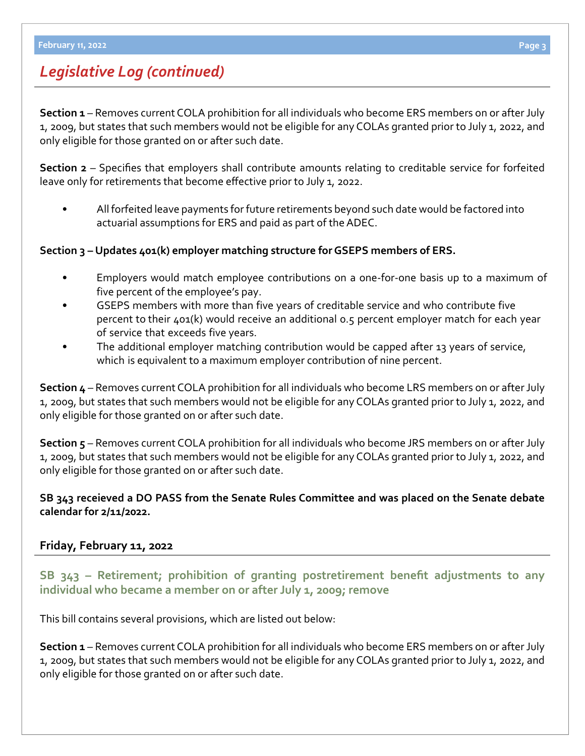# *Legislative Log (continued)*

**Section 1** – Removes current COLA prohibition for all individuals who become ERS members on or after July 1, 2009, but states that such members would not be eligible for any COLAs granted prior to July 1, 2022, and only eligible for those granted on or after such date.

**Section 2** – Specifies that employers shall contribute amounts relating to creditable service for forfeited leave only for retirements that become effective prior to July 1, 2022.

• All forfeited leave payments for future retirements beyond such date would be factored into actuarial assumptions for ERS and paid as part of the ADEC.

**Section 3 – Updates 401(k) employer matching structure for GSEPS members of ERS.**

- Employers would match employee contributions on a one-for-one basis up to a maximum of five percent of the employee's pay.
- GSEPS members with more than five years of creditable service and who contribute five percent to their 401(k) would receive an additional 0.5 percent employer match for each year of service that exceeds five years.
- The additional employer matching contribution would be capped after 13 years of service, which is equivalent to a maximum employer contribution of nine percent.

**Section 4** – Removes current COLA prohibition for all individuals who become LRS members on or after July 1, 2009, but states that such members would not be eligible for any COLAs granted prior to July 1, 2022, and only eligible for those granted on or after such date.

**Section 5** – Removes current COLA prohibition for all individuals who become JRS members on or after July 1, 2009, but states that such members would not be eligible for any COLAs granted prior to July 1, 2022, and only eligible for those granted on or after such date.

## **SB 343 receieved a DO PASS from the Senate Rules Committee and was placed on the Senate debate calendar for 2/11/2022.**

## **Friday, February 11, 2022**

**[SB 343](https://www.legis.ga.gov/legislation/61176) – [Retirement; prohibition of granting postretirement benefit adjustments to any](https://www.legis.ga.gov/legislation/61176)  individual who became a member on or after July 1, 2009; remove**

This bill contains several provisions, which are listed out below:

**Section 1** – Removes current COLA prohibition for all individuals who become ERS members on or after July 1, 2009, but states that such members would not be eligible for any COLAs granted prior to July 1, 2022, and only eligible for those granted on or after such date.